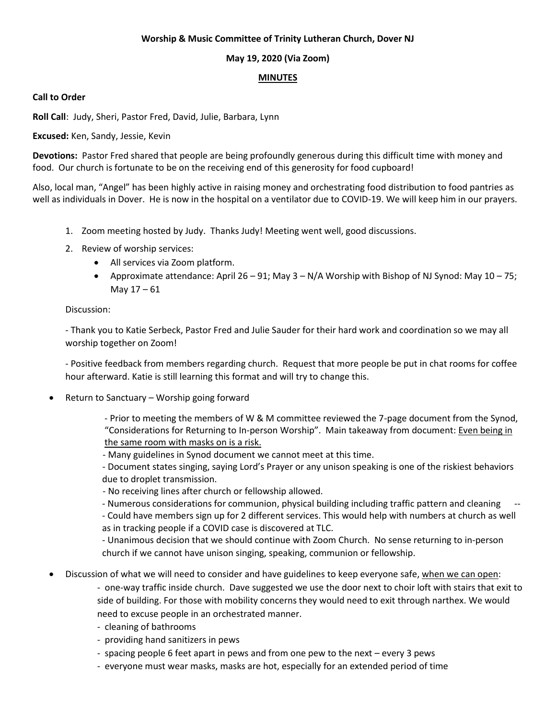### **Worship & Music Committee of Trinity Lutheran Church, Dover NJ**

## **May 19, 2020 (Via Zoom)**

### **MINUTES**

### **Call to Order**

**Roll Call**: Judy, Sheri, Pastor Fred, David, Julie, Barbara, Lynn

**Excused:** Ken, Sandy, Jessie, Kevin

**Devotions:** Pastor Fred shared that people are being profoundly generous during this difficult time with money and food. Our church is fortunate to be on the receiving end of this generosity for food cupboard!

Also, local man, "Angel" has been highly active in raising money and orchestrating food distribution to food pantries as well as individuals in Dover. He is now in the hospital on a ventilator due to COVID-19. We will keep him in our prayers.

- 1. Zoom meeting hosted by Judy. Thanks Judy! Meeting went well, good discussions.
- 2. Review of worship services:
	- All services via Zoom platform.
	- Approximate attendance: April 26 91; May  $3 N/A$  Worship with Bishop of NJ Synod: May 10 75; May 17 – 61

### Discussion:

- Thank you to Katie Serbeck, Pastor Fred and Julie Sauder for their hard work and coordination so we may all worship together on Zoom!

- Positive feedback from members regarding church. Request that more people be put in chat rooms for coffee hour afterward. Katie is still learning this format and will try to change this.

Return to Sanctuary – Worship going forward

- Prior to meeting the members of W & M committee reviewed the 7-page document from the Synod, "Considerations for Returning to In-person Worship". Main takeaway from document: Even being in the same room with masks on is a risk.

- Many guidelines in Synod document we cannot meet at this time.

- Document states singing, saying Lord's Prayer or any unison speaking is one of the riskiest behaviors due to droplet transmission.

- No receiving lines after church or fellowship allowed.

- Numerous considerations for communion, physical building including traffic pattern and cleaning

- Could have members sign up for 2 different services. This would help with numbers at church as well as in tracking people if a COVID case is discovered at TLC.

- Unanimous decision that we should continue with Zoom Church. No sense returning to in-person church if we cannot have unison singing, speaking, communion or fellowship.

Discussion of what we will need to consider and have guidelines to keep everyone safe, when we can open:

- one-way traffic inside church. Dave suggested we use the door next to choir loft with stairs that exit to side of building. For those with mobility concerns they would need to exit through narthex. We would need to excuse people in an orchestrated manner.

- cleaning of bathrooms
- providing hand sanitizers in pews
- spacing people 6 feet apart in pews and from one pew to the next every 3 pews
- everyone must wear masks, masks are hot, especially for an extended period of time